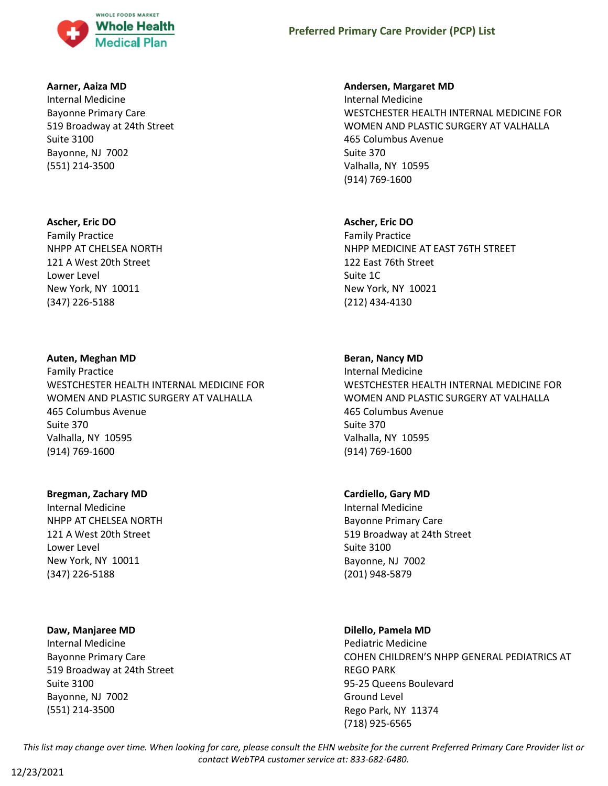

# **Preferred Primary Care Provider (PCP) List**

#### **Aarner, Aaiza MD**

Internal Medicine Bayonne Primary Care 519 Broadway at 24th Street Suite 3100 Bayonne, NJ 7002 (551) 214-3500

#### **Ascher, Eric DO**

Family Practice NHPP AT CHELSEA NORTH 121 A West 20th Street Lower Level New York, NY 10011 (347) 226-5188

### **Auten, Meghan MD**

Family Practice WESTCHESTER HEALTH INTERNAL MEDICINE FOR WOMEN AND PLASTIC SURGERY AT VALHALLA 465 Columbus Avenue Suite 370 Valhalla, NY 10595 (914) 769-1600

### **Bregman, Zachary MD**

Internal Medicine NHPP AT CHELSEA NORTH 121 A West 20th Street Lower Level New York, NY 10011 (347) 226-5188

### **Daw, Manjaree MD**

Internal Medicine Bayonne Primary Care 519 Broadway at 24th Street Suite 3100 Bayonne, NJ 7002 (551) 214-3500

#### **Andersen, Margaret MD**

Internal Medicine WESTCHESTER HEALTH INTERNAL MEDICINE FOR WOMEN AND PLASTIC SURGERY AT VALHALLA 465 Columbus Avenue Suite 370 Valhalla, NY 10595 (914) 769-1600

### **Ascher, Eric DO**

Family Practice NHPP MEDICINE AT EAST 76TH STREET 122 East 76th Street Suite 1C New York, NY 10021 (212) 434-4130

#### **Beran, Nancy MD**

Internal Medicine WESTCHESTER HEALTH INTERNAL MEDICINE FOR WOMEN AND PLASTIC SURGERY AT VALHALLA 465 Columbus Avenue Suite 370 Valhalla, NY 10595 (914) 769-1600

#### **Cardiello, Gary MD**

Internal Medicine Bayonne Primary Care 519 Broadway at 24th Street Suite 3100 Bayonne, NJ 7002 (201) 948-5879

### **Dilello, Pamela MD**

Pediatric Medicine COHEN CHILDREN'S NHPP GENERAL PEDIATRICS AT REGO PARK 95-25 Queens Boulevard Ground Level Rego Park, NY 11374 (718) 925-6565

*This list may change over time. When looking for care, please consult the EHN website for the current Preferred Primary Care Provider list or contact WebTPA customer service at: 833-682-6480.*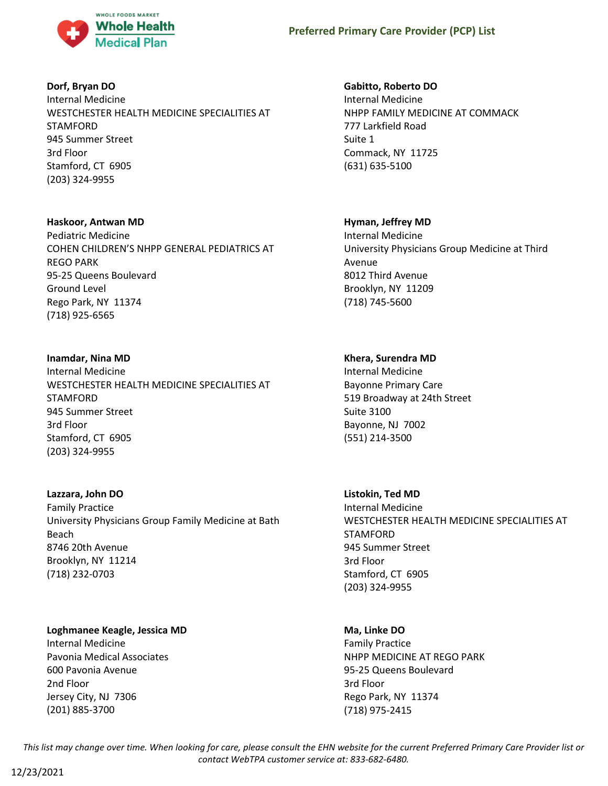

# **Dorf, Bryan DO**

Internal Medicine WESTCHESTER HEALTH MEDICINE SPECIALITIES AT STAMFORD 945 Summer Street 3rd Floor Stamford, CT 6905 (203) 324-9955

## **Haskoor, Antwan MD**

Pediatric Medicine COHEN CHILDREN'S NHPP GENERAL PEDIATRICS AT REGO PARK 95-25 Queens Boulevard Ground Level Rego Park, NY 11374 (718) 925-6565

## **Inamdar, Nina MD**

Internal Medicine WESTCHESTER HEALTH MEDICINE SPECIALITIES AT STAMFORD 945 Summer Street 3rd Floor Stamford, CT 6905 (203) 324-9955

### **Lazzara, John DO**

Family Practice University Physicians Group Family Medicine at Bath Beach 8746 20th Avenue Brooklyn, NY 11214 (718) 232-0703

### **Loghmanee Keagle, Jessica MD**

Internal Medicine Pavonia Medical Associates 600 Pavonia Avenue 2nd Floor Jersey City, NJ 7306 (201) 885-3700

## **Gabitto, Roberto DO**

Internal Medicine NHPP FAMILY MEDICINE AT COMMACK 777 Larkfield Road Suite 1 Commack, NY 11725 (631) 635-5100

## **Hyman, Jeffrey MD**

Internal Medicine University Physicians Group Medicine at Third Avenue 8012 Third Avenue Brooklyn, NY 11209 (718) 745-5600

## **Khera, Surendra MD**

Internal Medicine Bayonne Primary Care 519 Broadway at 24th Street Suite 3100 Bayonne, NJ 7002 (551) 214-3500

### **Listokin, Ted MD**

Internal Medicine WESTCHESTER HEALTH MEDICINE SPECIALITIES AT STAMFORD 945 Summer Street 3rd Floor Stamford, CT 6905 (203) 324-9955

### **Ma, Linke DO**

Family Practice NHPP MEDICINE AT REGO PARK 95-25 Queens Boulevard 3rd Floor Rego Park, NY 11374 (718) 975-2415

*This list may change over time. When looking for care, please consult the EHN website for the current Preferred Primary Care Provider list or contact WebTPA customer service at: 833-682-6480.*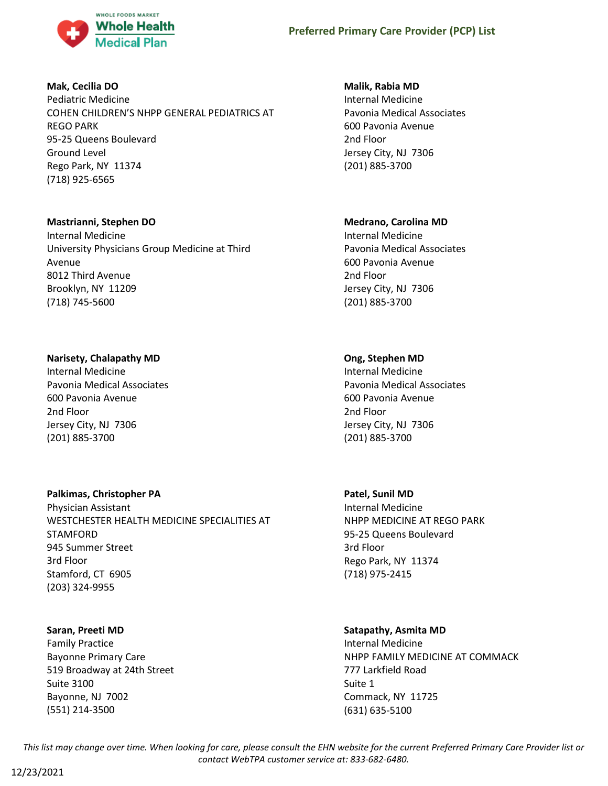

# **Mak, Cecilia DO**

Pediatric Medicine COHEN CHILDREN'S NHPP GENERAL PEDIATRICS AT REGO PARK 95-25 Queens Boulevard Ground Level Rego Park, NY 11374 (718) 925-6565

## **Mastrianni, Stephen DO**

Internal Medicine University Physicians Group Medicine at Third Avenue 8012 Third Avenue Brooklyn, NY 11209 (718) 745-5600

# **Narisety, Chalapathy MD**

Internal Medicine Pavonia Medical Associates 600 Pavonia Avenue 2nd Floor Jersey City, NJ 7306 (201) 885-3700

# **Palkimas, Christopher PA**

Physician Assistant WESTCHESTER HEALTH MEDICINE SPECIALITIES AT STAMFORD 945 Summer Street 3rd Floor Stamford, CT 6905 (203) 324-9955

### **Saran, Preeti MD**

Family Practice Bayonne Primary Care 519 Broadway at 24th Street Suite 3100 Bayonne, NJ 7002 (551) 214-3500

## **Malik, Rabia MD**

Internal Medicine Pavonia Medical Associates 600 Pavonia Avenue 2nd Floor Jersey City, NJ 7306 (201) 885-3700

# **Medrano, Carolina MD**

Internal Medicine Pavonia Medical Associates 600 Pavonia Avenue 2nd Floor Jersey City, NJ 7306 (201) 885-3700

# **Ong, Stephen MD**

Internal Medicine Pavonia Medical Associates 600 Pavonia Avenue 2nd Floor Jersey City, NJ 7306 (201) 885-3700

# **Patel, Sunil MD**

Internal Medicine NHPP MEDICINE AT REGO PARK 95-25 Queens Boulevard 3rd Floor Rego Park, NY 11374 (718) 975-2415

# **Satapathy, Asmita MD**

Internal Medicine NHPP FAMILY MEDICINE AT COMMACK 777 Larkfield Road Suite 1 Commack, NY 11725 (631) 635-5100

*This list may change over time. When looking for care, please consult the EHN website for the current Preferred Primary Care Provider list or contact WebTPA customer service at: 833-682-6480.*